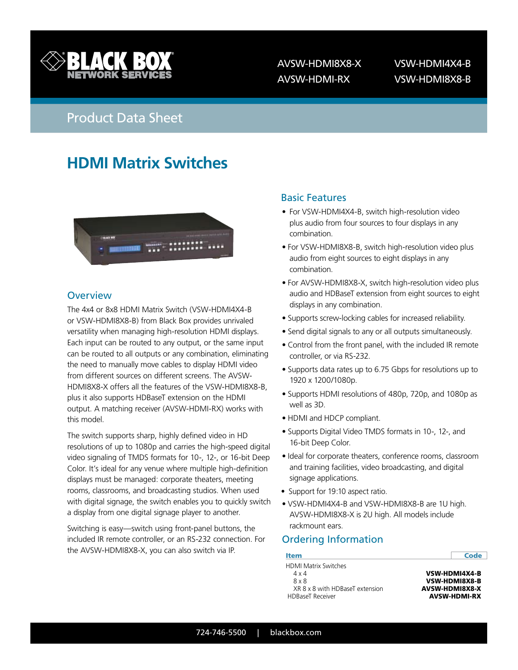

 AVSW-HDMI8X8-X VSW-HDMI4X4-B AVSW-HDMI-RX VSW-HDMI8X8-B

## Product Data Sheet

# **HDMI Matrix Switches**



#### **Overview**

The 4x4 or 8x8 HDMI Matrix Switch (VSW-HDMI4X4-B or VSW-HDMI8X8-B) from Black Box provides unrivaled versatility when managing high-resolution HDMI displays. Each input can be routed to any output, or the same input can be routed to all outputs or any combination, eliminating the need to manually move cables to display HDMI video from different sources on different screens. The AVSW-HDMI8X8-X offers all the features of the VSW-HDMI8X8-B, plus it also supports HDBaseT extension on the HDMI output. A matching receiver (AVSW-HDMI-RX) works with this model.

The switch supports sharp, highly defined video in HD resolutions of up to 1080p and carries the high-speed digital video signaling of TMDS formats for 10-, 12-, or 16-bit Deep Color. It's ideal for any venue where multiple high-definition displays must be managed: corporate theaters, meeting rooms, classrooms, and broadcasting studios. When used with digital signage, the switch enables you to quickly switch a display from one digital signage player to another.

Switching is easy—switch using front-panel buttons, the included IR remote controller, or an RS-232 connection. For the AVSW-HDMI8X8-X, you can also switch via IP.

## **BLACK BOX** Basic Features

- For VSW-HDMI4X4-B, switch high-resolution video plus audio from four sources to four displays in any combination.
- For VSW-HDMI8X8-B, switch high-resolution video plus audio from eight sources to eight displays in any combination.
- For AVSW-HDMI8X8-X, switch high-resolution video plus audio and HDBaseT extension from eight sources to eight displays in any combination.
- Supports screw-locking cables for increased reliability.
- Send digital signals to any or all outputs simultaneously.
- Control from the front panel, with the included IR remote controller, or via RS-232.
- Supports data rates up to 6.75 Gbps for resolutions up to 1920 x 1200/1080p.
- Supports HDMI resolutions of 480p, 720p, and 1080p as well as 3D.
- HDMI and HDCP compliant.
- Supports Digital Video TMDS formats in 10-, 12-, and 16-bit Deep Color.
- Ideal for corporate theaters, conference rooms, classroom and training facilities, video broadcasting, and digital signage applications.
- Support for 19:10 aspect ratio.
- VSW-HDMI4X4-B and VSW-HDMI8X8-B are 1U high. AVSW-HDMI8X8-X is 2U high. All models include rackmount ears.

## Ordering Information

| <b>Item</b>                     | Code                 |
|---------------------------------|----------------------|
| <b>HDMI Matrix Switches</b>     |                      |
| $4 \times 4$                    | <b>VSW-HDMI4X4-B</b> |
| $8 \times 8$                    | VSW-HDMI8X8-B        |
| XR 8 x 8 with HDBaseT extension | AVSW-HDMI8X8-X       |
| <b>HDBaseT Receiver</b>         | <b>AVSW-HDMI-RX</b>  |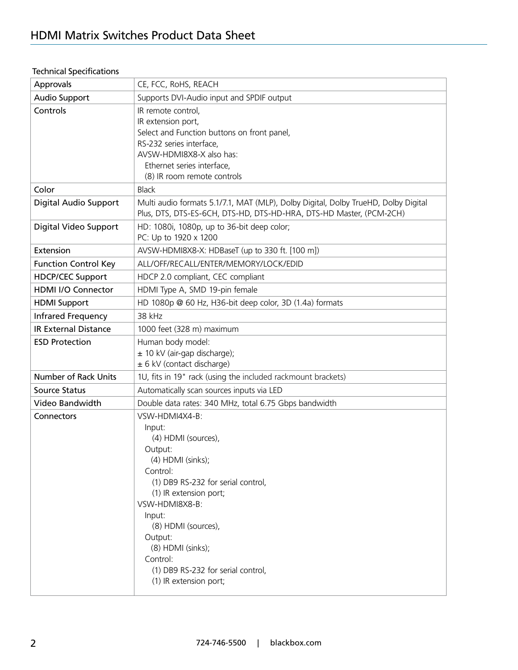| Approvals                   | CE, FCC, RoHS, REACH                                                                                                                                                                                                                                       |  |  |  |
|-----------------------------|------------------------------------------------------------------------------------------------------------------------------------------------------------------------------------------------------------------------------------------------------------|--|--|--|
| Audio Support               | Supports DVI-Audio input and SPDIF output                                                                                                                                                                                                                  |  |  |  |
| Controls                    | IR remote control,<br>IR extension port,<br>Select and Function buttons on front panel,<br>RS-232 series interface,<br>AVSW-HDMI8X8-X also has:<br>Ethernet series interface,<br>(8) IR room remote controls                                               |  |  |  |
| Color                       | <b>Black</b>                                                                                                                                                                                                                                               |  |  |  |
| Digital Audio Support       | Multi audio formats 5.1/7.1, MAT (MLP), Dolby Digital, Dolby TrueHD, Dolby Digital<br>Plus, DTS, DTS-ES-6CH, DTS-HD, DTS-HD-HRA, DTS-HD Master, (PCM-2CH)                                                                                                  |  |  |  |
| Digital Video Support       | HD: 1080i, 1080p, up to 36-bit deep color;<br>PC: Up to 1920 x 1200                                                                                                                                                                                        |  |  |  |
| Extension                   | AVSW-HDMI8X8-X: HDBaseT (up to 330 ft. [100 m])                                                                                                                                                                                                            |  |  |  |
| <b>Function Control Key</b> | ALL/OFF/RECALL/ENTER/MEMORY/LOCK/EDID                                                                                                                                                                                                                      |  |  |  |
| <b>HDCP/CEC Support</b>     | HDCP 2.0 compliant, CEC compliant                                                                                                                                                                                                                          |  |  |  |
| <b>HDMI I/O Connector</b>   | HDMI Type A, SMD 19-pin female                                                                                                                                                                                                                             |  |  |  |
| <b>HDMI</b> Support         | HD 1080p @ 60 Hz, H36-bit deep color, 3D (1.4a) formats                                                                                                                                                                                                    |  |  |  |
| <b>Infrared Frequency</b>   | 38 kHz                                                                                                                                                                                                                                                     |  |  |  |
| <b>IR External Distance</b> | 1000 feet (328 m) maximum                                                                                                                                                                                                                                  |  |  |  |
| <b>ESD Protection</b>       | Human body model:<br>± 10 kV (air-gap discharge);<br>± 6 kV (contact discharge)                                                                                                                                                                            |  |  |  |
| <b>Number of Rack Units</b> | 1U, fits in 19" rack (using the included rackmount brackets)                                                                                                                                                                                               |  |  |  |
| <b>Source Status</b>        | Automatically scan sources inputs via LED                                                                                                                                                                                                                  |  |  |  |
| Video Bandwidth             | Double data rates: 340 MHz, total 6.75 Gbps bandwidth                                                                                                                                                                                                      |  |  |  |
| Connectors                  | VSW-HDMI4X4-B:<br>Input:<br>(4) HDMI (sources),<br>Output:<br>(4) HDMI (sinks);<br>Control:<br>(1) DB9 RS-232 for serial control,<br>(1) IR extension port;<br>VSW-HDMI8X8-B:<br>Input:<br>(8) HDMI (sources),<br>Output:<br>(8) HDMI (sinks);<br>Control: |  |  |  |
|                             | (1) DB9 RS-232 for serial control,<br>(1) IR extension port;                                                                                                                                                                                               |  |  |  |

## Technical Specifications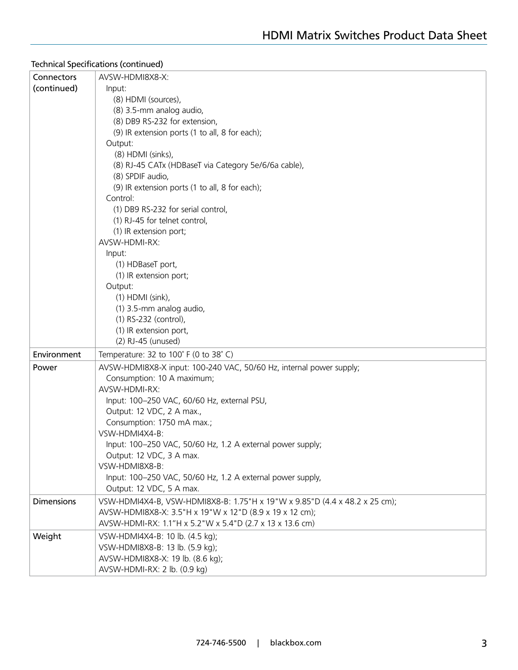### Technical Specifications (continued)

| Connectors        | AVSW-HDMI8X8-X:                                                                        |  |  |  |  |
|-------------------|----------------------------------------------------------------------------------------|--|--|--|--|
| (continued)       | Input:                                                                                 |  |  |  |  |
|                   | (8) HDMI (sources),                                                                    |  |  |  |  |
|                   | (8) 3.5-mm analog audio,                                                               |  |  |  |  |
|                   | (8) DB9 RS-232 for extension,                                                          |  |  |  |  |
|                   | (9) IR extension ports (1 to all, 8 for each);                                         |  |  |  |  |
|                   | Output:                                                                                |  |  |  |  |
|                   | (8) HDMI (sinks),                                                                      |  |  |  |  |
|                   | (8) RJ-45 CATx (HDBaseT via Category 5e/6/6a cable),<br>(8) SPDIF audio,               |  |  |  |  |
|                   | (9) IR extension ports (1 to all, 8 for each);                                         |  |  |  |  |
|                   | Control:                                                                               |  |  |  |  |
|                   | (1) DB9 RS-232 for serial control,                                                     |  |  |  |  |
|                   | (1) RJ-45 for telnet control,                                                          |  |  |  |  |
|                   | (1) IR extension port;                                                                 |  |  |  |  |
|                   | AVSW-HDMI-RX:                                                                          |  |  |  |  |
|                   | Input:                                                                                 |  |  |  |  |
|                   | (1) HDBaseT port,                                                                      |  |  |  |  |
|                   | (1) IR extension port;                                                                 |  |  |  |  |
|                   | Output:                                                                                |  |  |  |  |
|                   | $(1)$ HDMI (sink),                                                                     |  |  |  |  |
|                   | (1) 3.5-mm analog audio,<br>(1) RS-232 (control),                                      |  |  |  |  |
|                   | (1) IR extension port,                                                                 |  |  |  |  |
|                   | (2) RJ-45 (unused)                                                                     |  |  |  |  |
| Environment       | Temperature: 32 to 100° F (0 to 38° C)                                                 |  |  |  |  |
| Power             | AVSW-HDMI8X8-X input: 100-240 VAC, 50/60 Hz, internal power supply;                    |  |  |  |  |
|                   | Consumption: 10 A maximum;                                                             |  |  |  |  |
|                   | AVSW-HDMI-RX:                                                                          |  |  |  |  |
|                   | Input: 100-250 VAC, 60/60 Hz, external PSU,                                            |  |  |  |  |
|                   | Output: 12 VDC, 2 A max.,                                                              |  |  |  |  |
|                   | Consumption: 1750 mA max.;                                                             |  |  |  |  |
|                   | VSW-HDMI4X4-B:                                                                         |  |  |  |  |
|                   | Input: 100-250 VAC, 50/60 Hz, 1.2 A external power supply;<br>Output: 12 VDC, 3 A max. |  |  |  |  |
|                   | VSW-HDMI8X8-B:                                                                         |  |  |  |  |
|                   | Input: 100-250 VAC, 50/60 Hz, 1.2 A external power supply,                             |  |  |  |  |
|                   | Output: 12 VDC, 5 A max.                                                               |  |  |  |  |
| <b>Dimensions</b> | VSW-HDMI4X4-B, VSW-HDMI8X8-B: 1.75"H x 19"W x 9.85"D (4.4 x 48.2 x 25 cm);             |  |  |  |  |
|                   | AVSW-HDMI8X8-X: 3.5"H x 19"W x 12"D (8.9 x 19 x 12 cm);                                |  |  |  |  |
|                   | AVSW-HDMI-RX: 1.1"H x 5.2"W x 5.4"D (2.7 x 13 x 13.6 cm)                               |  |  |  |  |
| Weight            | VSW-HDMI4X4-B: 10 lb. (4.5 kg);                                                        |  |  |  |  |
|                   | VSW-HDMI8X8-B: 13 lb. (5.9 kg);                                                        |  |  |  |  |
|                   | AVSW-HDMI8X8-X: 19 lb. (8.6 kg);                                                       |  |  |  |  |
|                   | AVSW-HDMI-RX: 2 lb. (0.9 kg)                                                           |  |  |  |  |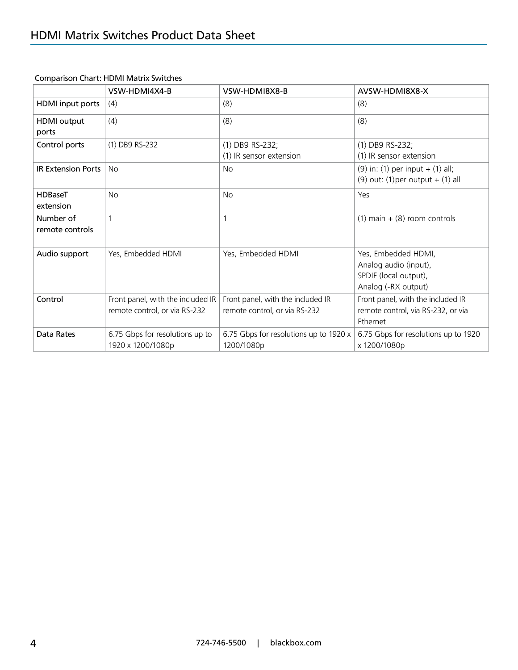|                              | VSW-HDMI4X4-B                                                      | VSW-HDMI8X8-B                                                      | AVSW-HDMI8X8-X                                                                               |
|------------------------------|--------------------------------------------------------------------|--------------------------------------------------------------------|----------------------------------------------------------------------------------------------|
| <b>HDMI</b> input ports      | (4)                                                                | (8)                                                                | (8)                                                                                          |
| <b>HDMI</b> output<br>ports  | (4)                                                                | (8)                                                                | (8)                                                                                          |
| Control ports                | (1) DB9 RS-232                                                     | (1) DB9 RS-232;<br>(1) IR sensor extension                         | (1) DB9 RS-232;<br>(1) IR sensor extension                                                   |
| <b>IR Extension Ports</b>    | <b>No</b>                                                          | <b>No</b>                                                          | $(9)$ in: (1) per input + (1) all;<br>$(9)$ out: $(1)$ per output + $(1)$ all                |
| <b>HDBaseT</b><br>extension  | <b>No</b>                                                          | <b>No</b>                                                          | Yes                                                                                          |
| Number of<br>remote controls |                                                                    |                                                                    | $(1)$ main + $(8)$ room controls                                                             |
| Audio support                | Yes, Embedded HDMI                                                 | Yes, Embedded HDMI                                                 | Yes, Embedded HDMI,<br>Analog audio (input),<br>SPDIF (local output),<br>Analog (-RX output) |
| Control                      | Front panel, with the included IR<br>remote control, or via RS-232 | Front panel, with the included IR<br>remote control, or via RS-232 | Front panel, with the included IR<br>remote control, via RS-232, or via<br>Ethernet          |
| Data Rates                   | 6.75 Gbps for resolutions up to<br>1920 x 1200/1080p               | 6.75 Gbps for resolutions up to 1920 x<br>1200/1080p               | 6.75 Gbps for resolutions up to 1920<br>x 1200/1080p                                         |

Comparison Chart: HDMI Matrix Switches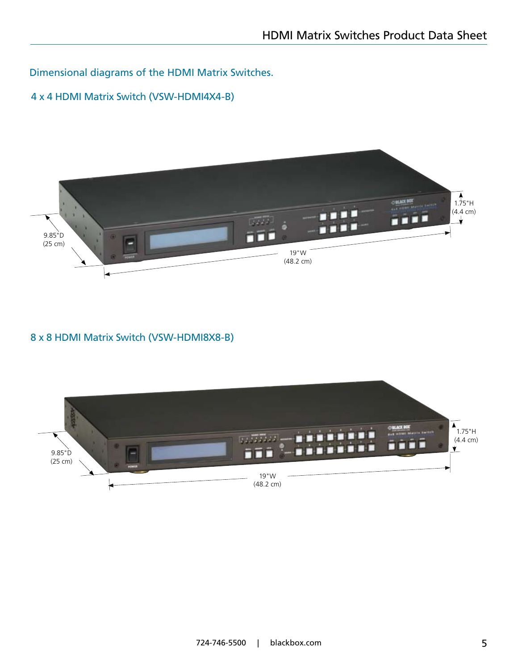Dimensional diagrams of the HDMI Matrix Switches.

## 4 x 4 HDMI Matrix Switch (VSW-HDMI4X4-B)



## 8 x 8 HDMI Matrix Switch (VSW-HDMI8X8-B)

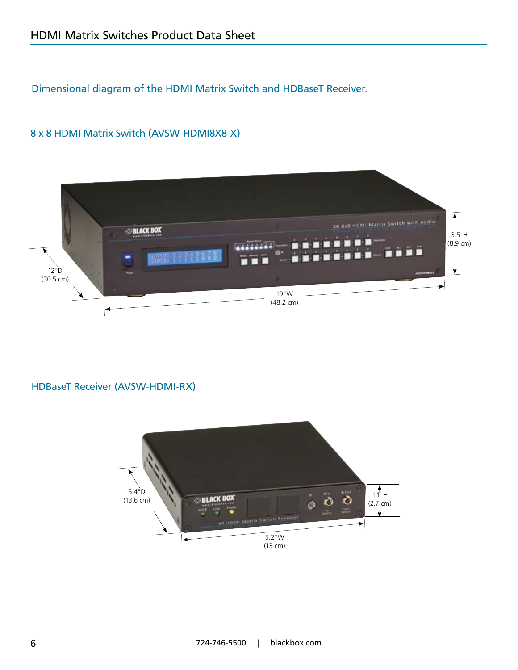## Dimensional diagram of the HDMI Matrix Switch and HDBaseT Receiver.

### 8 x 8 HDMI Matrix Switch (AVSW-HDMI8X8-X)



### HDBaseT Receiver (AVSW-HDMI-RX)

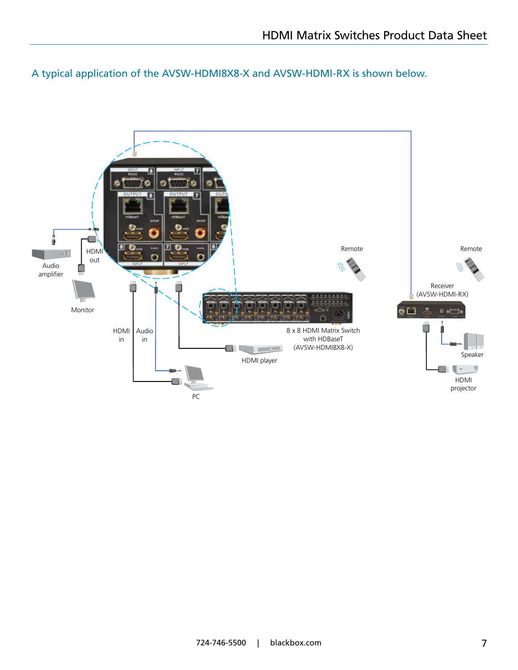A typical application of the AVSW-HDMI8X8-X and AVSW-HDMI-RX is shown below.